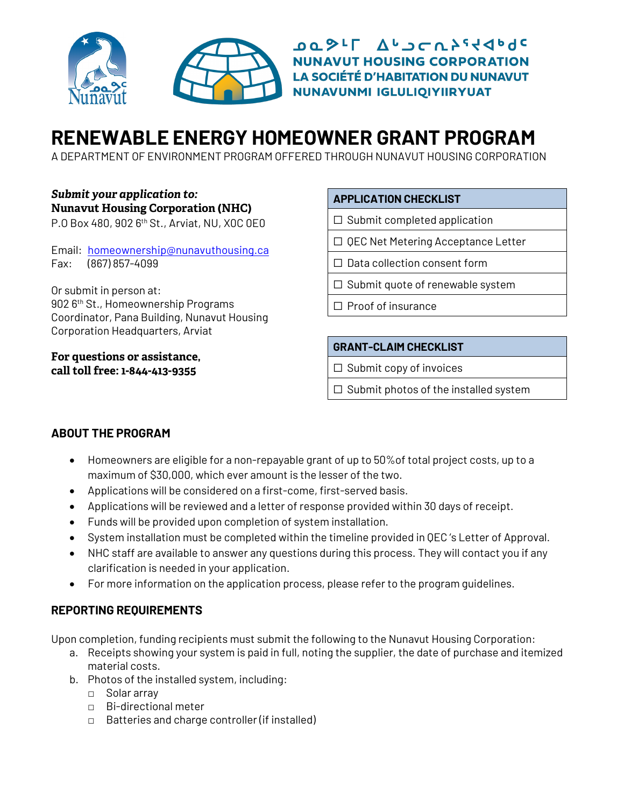

DQ SIL AUJCRYSSOR **NUNAVUT HOUSING CORPORATION LA SOCIÉTÉ D'HABITATION DU NUNAVUT** NUNAVUNMI IGLULIQIYIIRYUAT

# **RENEWABLE ENERGY HOMEOWNER GRANT PROGRAM**

A DEPARTMENT OF ENVIRONMENT PROGRAM OFFERED THROUGH NUNAVUT HOUSING CORPORATION

### *Submit your application to:* **Nunavut Housing Corporation (NHC)**

P.O Box 480, 902 6th St., Arviat, NU, X0C 0E0

Email: [homeownership@nunavuthousing.ca](mailto:homeownership@nunavuthousing.ca) Fax: (867) 857-4099

Or submit in person at: 902 6<sup>th</sup> St., Homeownership Programs Coordinator, Pana Building, Nunavut Housing Corporation Headquarters, Arviat

**For questions or assistance, call toll free: 1-844-413-9355**

### **APPLICATION CHECKLIST**

- $\Box$  Submit completed application
- ☐ QEC Net Metering Acceptance Letter
- □ Data collection consent form
- ☐ Submit quote of renewable system
- ☐ Proof of insurance

### **GRANT-CLAIM CHECKLIST**

- $\Box$  Submit copy of invoices
- $\Box$  Submit photos of the installed system

### **ABOUT THE PROGRAM**

- Homeowners are eligible for a non-repayable grant of up to 50%of total project costs, up to a maximum of \$30,000, which ever amount is the lesser of the two.
- Applications will be considered on a first-come, first-served basis.
- Applications will be reviewed and a letter of response provided within 30 days of receipt.
- Funds will be provided upon completion of system installation.
- System installation must be completed within the timeline provided in QEC 's Letter of Approval.
- NHC staff are available to answer any questions during this process. They will contact you if any clarification is needed in your application.
- For more information on the application process, please refer to the program guidelines.

#### **REPORTING REQUIREMENTS**

Upon completion, funding recipients must submit the following to the Nunavut Housing Corporation:

- a. Receipts showing your system is paid in full, noting the supplier, the date of purchase and itemized material costs.
- b. Photos of the installed system, including:
	- □ Solar array
	- □ Bi-directional meter
	- □ Batteries and charge controller (if installed)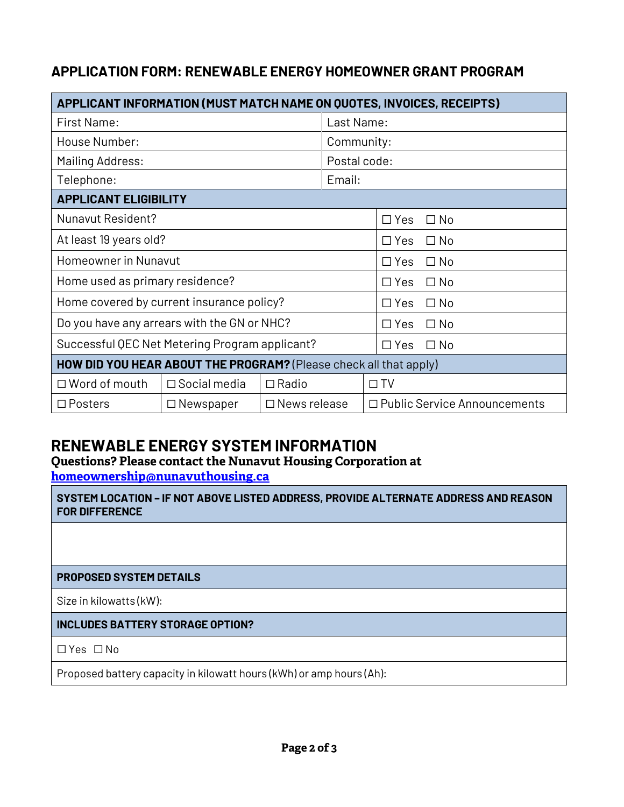## **APPLICATION FORM: RENEWABLE ENERGY HOMEOWNER GRANT PROGRAM**

| APPLICANT INFORMATION (MUST MATCH NAME ON QUOTES, INVOICES, RECEIPTS)    |                     |                     |                         |                                |  |  |
|--------------------------------------------------------------------------|---------------------|---------------------|-------------------------|--------------------------------|--|--|
| <b>First Name:</b>                                                       |                     |                     | Last Name:              |                                |  |  |
| House Number:                                                            |                     |                     | Community:              |                                |  |  |
| Mailing Address:                                                         |                     |                     | Postal code:            |                                |  |  |
| Telephone:                                                               |                     |                     | Email:                  |                                |  |  |
| <b>APPLICANT ELIGIBILITY</b>                                             |                     |                     |                         |                                |  |  |
| Nunavut Resident?                                                        |                     |                     |                         | $\Box$ Yes<br>$\Box$ No        |  |  |
| At least 19 years old?                                                   |                     |                     |                         | $\Box$ Yes<br>$\Box$ No        |  |  |
| Homeowner in Nunavut                                                     |                     |                     |                         | $\Box$ Yes<br>$\Box$ No        |  |  |
| Home used as primary residence?                                          |                     |                     |                         | $\Box$ Yes<br>$\Box$ No        |  |  |
| Home covered by current insurance policy?                                |                     |                     |                         | $\Box$ Yes<br>$\Box$ No        |  |  |
| Do you have any arrears with the GN or NHC?                              |                     |                     | $\Box$ Yes<br>$\Box$ No |                                |  |  |
| Successful QEC Net Metering Program applicant?                           |                     |                     |                         | $\Box$ Yes<br>$\Box$ No        |  |  |
| <b>HOW DID YOU HEAR ABOUT THE PROGRAM?</b> (Please check all that apply) |                     |                     |                         |                                |  |  |
| $\Box$ Word of mouth                                                     | $\Box$ Social media | $\Box$ Radio        |                         | $\Box$ TV                      |  |  |
| $\Box$ Posters                                                           | $\Box$ Newspaper    | $\Box$ News release |                         | □ Public Service Announcements |  |  |

# **RENEWABLE ENERGY SYSTEM INFORMATION**

**Questions? Please contact the Nunavut Housing Corporation at [homeownership@nunavuthousing.ca](mailto:homeownership@nunavuthousing.ca)**

**SYSTEM LOCATION – IF NOT ABOVE LISTED ADDRESS, PROVIDE ALTERNATE ADDRESS AND REASON FOR DIFFERENCE**

### **PROPOSED SYSTEM DETAILS**

Size in kilowatts (kW):

### **INCLUDES BATTERY STORAGE OPTION?**

☐ Yes ☐ No

Proposed battery capacity in kilowatt hours (kWh) or amp hours (Ah):